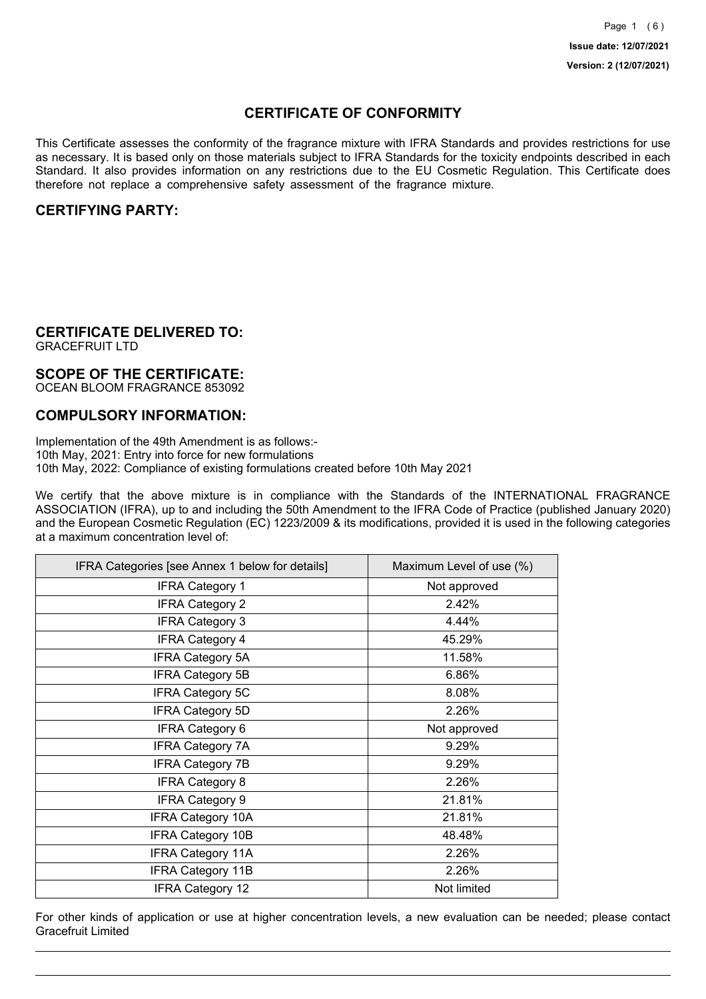## **CERTIFICATE OF CONFORMITY**

This Certificate assesses the conformity of the fragrance mixture with IFRA Standards and provides restrictions for use as necessary. It is based only on those materials subject to IFRA Standards for the toxicity endpoints described in each Standard. It also provides information on any restrictions due to the EU Cosmetic Regulation. This Certificate does therefore not replace a comprehensive safety assessment of the fragrance mixture.

## **CERTIFYING PARTY:**

## **CERTIFICATE DELIVERED TO:**

GRACEFRUIT LTD

## **SCOPE OF THE CERTIFICATE:**

OCEAN BLOOM FRAGRANCE 853092

## **COMPULSORY INFORMATION:**

Implementation of the 49th Amendment is as follows:- 10th May, 2021: Entry into force for new formulations 10th May, 2022: Compliance of existing formulations created before 10th May 2021

We certify that the above mixture is in compliance with the Standards of the INTERNATIONAL FRAGRANCE ASSOCIATION (IFRA), up to and including the 50th Amendment to the IFRA Code of Practice (published January 2020) and the European Cosmetic Regulation (EC) 1223/2009 & its modifications, provided it is used in the following categories at a maximum concentration level of:

| IFRA Categories [see Annex 1 below for details] | Maximum Level of use (%) |
|-------------------------------------------------|--------------------------|
| <b>IFRA Category 1</b>                          | Not approved             |
| <b>IFRA Category 2</b>                          | 2.42%                    |
| <b>IFRA Category 3</b>                          | 4.44%                    |
| <b>IFRA Category 4</b>                          | 45.29%                   |
| <b>IFRA Category 5A</b>                         | 11.58%                   |
| <b>IFRA Category 5B</b>                         | 6.86%                    |
| <b>IFRA Category 5C</b>                         | 8.08%                    |
| <b>IFRA Category 5D</b>                         | 2.26%                    |
| <b>IFRA Category 6</b>                          | Not approved             |
| <b>IFRA Category 7A</b>                         | 9.29%                    |
| <b>IFRA Category 7B</b>                         | 9.29%                    |
| <b>IFRA Category 8</b>                          | 2.26%                    |
| <b>IFRA Category 9</b>                          | 21.81%                   |
| <b>IFRA Category 10A</b>                        | 21.81%                   |
| <b>IFRA Category 10B</b>                        | 48.48%                   |
| <b>IFRA Category 11A</b>                        | 2.26%                    |
| <b>IFRA Category 11B</b>                        | 2.26%                    |
| <b>IFRA Category 12</b>                         | Not limited              |

For other kinds of application or use at higher concentration levels, a new evaluation can be needed; please contact Gracefruit Limited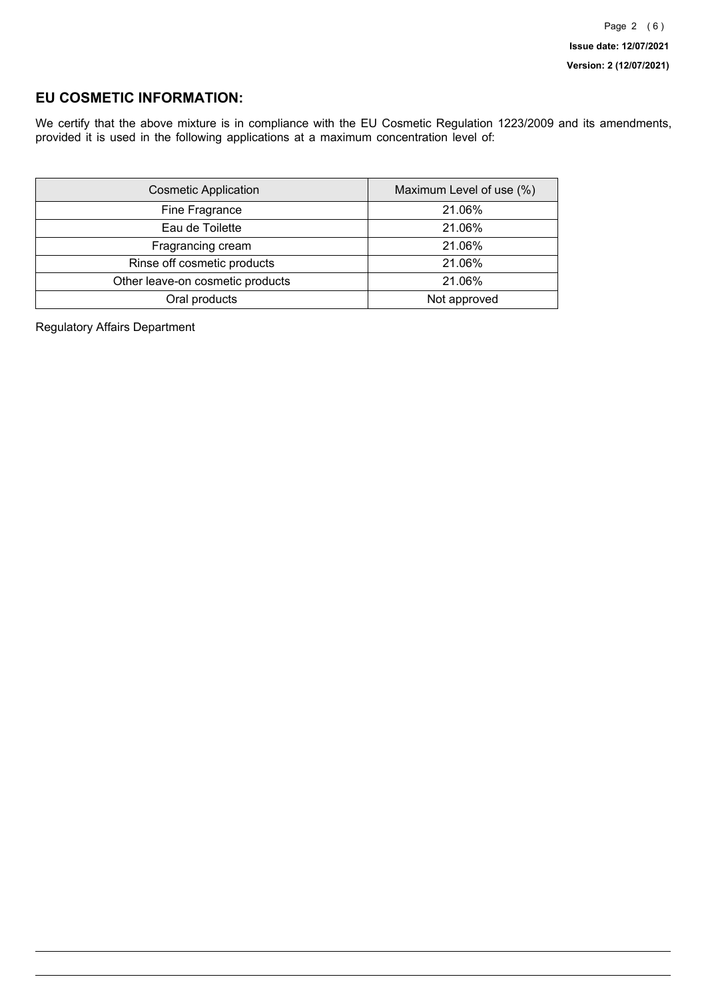## **EU COSMETIC INFORMATION:**

We certify that the above mixture is in compliance with the EU Cosmetic Regulation 1223/2009 and its amendments, provided it is used in the following applications at a maximum concentration level of:

| <b>Cosmetic Application</b>      | Maximum Level of use (%) |
|----------------------------------|--------------------------|
| Fine Fragrance                   | 21.06%                   |
| Eau de Toilette                  | 21.06%                   |
| Fragrancing cream                | 21.06%                   |
| Rinse off cosmetic products      | 21.06%                   |
| Other leave-on cosmetic products | 21.06%                   |
| Oral products                    | Not approved             |

Regulatory Affairs Department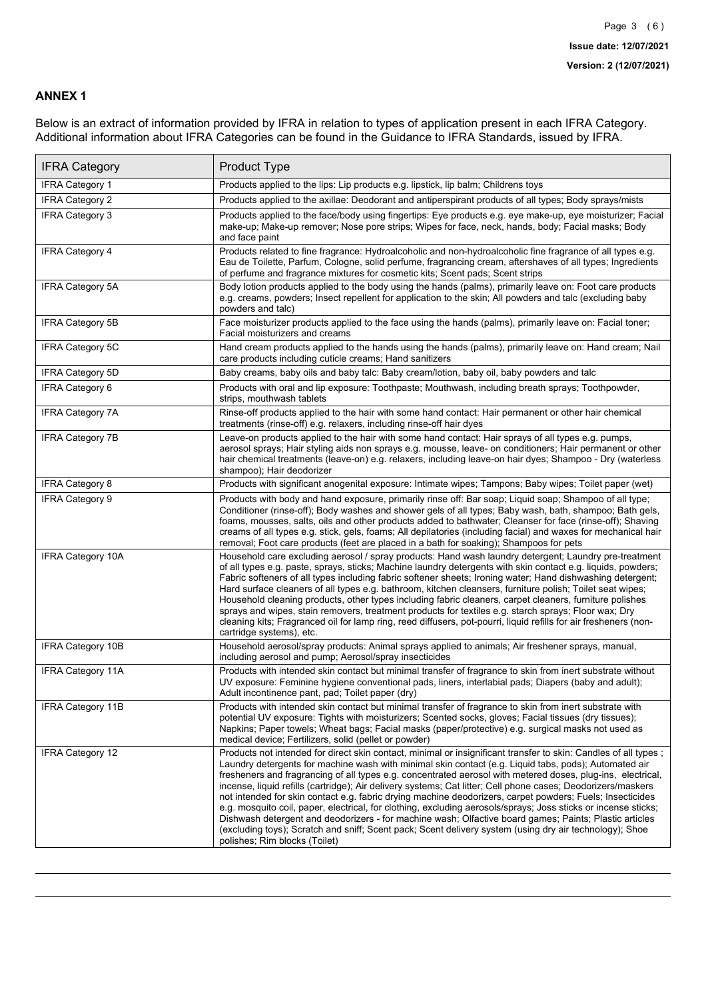### **ANNEX 1**

Below is an extract of information provided by IFRA in relation to types of application present in each IFRA Category. Additional information about IFRA Categories can be found in the Guidance to IFRA Standards, issued by IFRA.

| <b>IFRA Category</b>     | Product Type                                                                                                                                                                                                                                                                                                                                                                                                                                                                                                                                                                                                                                                                                                                                                                                                                                                                                                                                 |
|--------------------------|----------------------------------------------------------------------------------------------------------------------------------------------------------------------------------------------------------------------------------------------------------------------------------------------------------------------------------------------------------------------------------------------------------------------------------------------------------------------------------------------------------------------------------------------------------------------------------------------------------------------------------------------------------------------------------------------------------------------------------------------------------------------------------------------------------------------------------------------------------------------------------------------------------------------------------------------|
| <b>IFRA Category 1</b>   | Products applied to the lips: Lip products e.g. lipstick, lip balm; Childrens toys                                                                                                                                                                                                                                                                                                                                                                                                                                                                                                                                                                                                                                                                                                                                                                                                                                                           |
| <b>IFRA Category 2</b>   | Products applied to the axillae: Deodorant and antiperspirant products of all types; Body sprays/mists                                                                                                                                                                                                                                                                                                                                                                                                                                                                                                                                                                                                                                                                                                                                                                                                                                       |
| IFRA Category 3          | Products applied to the face/body using fingertips: Eye products e.g. eye make-up, eye moisturizer; Facial<br>make-up; Make-up remover; Nose pore strips; Wipes for face, neck, hands, body; Facial masks; Body<br>and face paint                                                                                                                                                                                                                                                                                                                                                                                                                                                                                                                                                                                                                                                                                                            |
| <b>IFRA Category 4</b>   | Products related to fine fragrance: Hydroalcoholic and non-hydroalcoholic fine fragrance of all types e.g.<br>Eau de Toilette, Parfum, Cologne, solid perfume, fragrancing cream, aftershaves of all types; Ingredients<br>of perfume and fragrance mixtures for cosmetic kits; Scent pads; Scent strips                                                                                                                                                                                                                                                                                                                                                                                                                                                                                                                                                                                                                                     |
| <b>IFRA Category 5A</b>  | Body lotion products applied to the body using the hands (palms), primarily leave on: Foot care products<br>e.g. creams, powders; Insect repellent for application to the skin; All powders and talc (excluding baby<br>powders and talc)                                                                                                                                                                                                                                                                                                                                                                                                                                                                                                                                                                                                                                                                                                    |
| IFRA Category 5B         | Face moisturizer products applied to the face using the hands (palms), primarily leave on: Facial toner;<br>Facial moisturizers and creams                                                                                                                                                                                                                                                                                                                                                                                                                                                                                                                                                                                                                                                                                                                                                                                                   |
| IFRA Category 5C         | Hand cream products applied to the hands using the hands (palms), primarily leave on: Hand cream; Nail<br>care products including cuticle creams; Hand sanitizers                                                                                                                                                                                                                                                                                                                                                                                                                                                                                                                                                                                                                                                                                                                                                                            |
| <b>IFRA Category 5D</b>  | Baby creams, baby oils and baby talc: Baby cream/lotion, baby oil, baby powders and talc                                                                                                                                                                                                                                                                                                                                                                                                                                                                                                                                                                                                                                                                                                                                                                                                                                                     |
| <b>IFRA Category 6</b>   | Products with oral and lip exposure: Toothpaste; Mouthwash, including breath sprays; Toothpowder,<br>strips, mouthwash tablets                                                                                                                                                                                                                                                                                                                                                                                                                                                                                                                                                                                                                                                                                                                                                                                                               |
| <b>IFRA Category 7A</b>  | Rinse-off products applied to the hair with some hand contact: Hair permanent or other hair chemical<br>treatments (rinse-off) e.g. relaxers, including rinse-off hair dyes                                                                                                                                                                                                                                                                                                                                                                                                                                                                                                                                                                                                                                                                                                                                                                  |
| <b>IFRA Category 7B</b>  | Leave-on products applied to the hair with some hand contact: Hair sprays of all types e.g. pumps,<br>aerosol sprays; Hair styling aids non sprays e.g. mousse, leave- on conditioners; Hair permanent or other<br>hair chemical treatments (leave-on) e.g. relaxers, including leave-on hair dyes; Shampoo - Dry (waterless<br>shampoo); Hair deodorizer                                                                                                                                                                                                                                                                                                                                                                                                                                                                                                                                                                                    |
| <b>IFRA Category 8</b>   | Products with significant anogenital exposure: Intimate wipes; Tampons; Baby wipes; Toilet paper (wet)                                                                                                                                                                                                                                                                                                                                                                                                                                                                                                                                                                                                                                                                                                                                                                                                                                       |
| <b>IFRA Category 9</b>   | Products with body and hand exposure, primarily rinse off: Bar soap; Liquid soap; Shampoo of all type;<br>Conditioner (rinse-off); Body washes and shower gels of all types; Baby wash, bath, shampoo; Bath gels,<br>foams, mousses, salts, oils and other products added to bathwater; Cleanser for face (rinse-off); Shaving<br>creams of all types e.g. stick, gels, foams; All depilatories (including facial) and waxes for mechanical hair<br>removal; Foot care products (feet are placed in a bath for soaking); Shampoos for pets                                                                                                                                                                                                                                                                                                                                                                                                   |
| <b>IFRA Category 10A</b> | Household care excluding aerosol / spray products: Hand wash laundry detergent; Laundry pre-treatment<br>of all types e.g. paste, sprays, sticks; Machine laundry detergents with skin contact e.g. liquids, powders;<br>Fabric softeners of all types including fabric softener sheets; Ironing water; Hand dishwashing detergent;<br>Hard surface cleaners of all types e.g. bathroom, kitchen cleansers, furniture polish; Toilet seat wipes;<br>Household cleaning products, other types including fabric cleaners, carpet cleaners, furniture polishes<br>sprays and wipes, stain removers, treatment products for textiles e.g. starch sprays; Floor wax; Dry<br>cleaning kits; Fragranced oil for lamp ring, reed diffusers, pot-pourri, liquid refills for air fresheners (non-<br>cartridge systems), etc.                                                                                                                          |
| <b>IFRA Category 10B</b> | Household aerosol/spray products: Animal sprays applied to animals; Air freshener sprays, manual,<br>including aerosol and pump; Aerosol/spray insecticides                                                                                                                                                                                                                                                                                                                                                                                                                                                                                                                                                                                                                                                                                                                                                                                  |
| <b>IFRA Category 11A</b> | Products with intended skin contact but minimal transfer of fragrance to skin from inert substrate without<br>UV exposure: Feminine hygiene conventional pads, liners, interlabial pads; Diapers (baby and adult);<br>Adult incontinence pant, pad; Toilet paper (dry)                                                                                                                                                                                                                                                                                                                                                                                                                                                                                                                                                                                                                                                                       |
| <b>IFRA Category 11B</b> | Products with intended skin contact but minimal transfer of fragrance to skin from inert substrate with<br>potential UV exposure: Tights with moisturizers; Scented socks, gloves; Facial tissues (dry tissues);<br>Napkins; Paper towels; Wheat bags; Facial masks (paper/protective) e.g. surgical masks not used as<br>medical device; Fertilizers, solid (pellet or powder)                                                                                                                                                                                                                                                                                                                                                                                                                                                                                                                                                              |
| <b>IFRA Category 12</b>  | Products not intended for direct skin contact, minimal or insignificant transfer to skin: Candles of all types;<br>Laundry detergents for machine wash with minimal skin contact (e.g. Liquid tabs, pods); Automated air<br>fresheners and fragrancing of all types e.g. concentrated aerosol with metered doses, plug-ins, electrical,<br>incense, liquid refills (cartridge); Air delivery systems; Cat litter; Cell phone cases; Deodorizers/maskers<br>not intended for skin contact e.g. fabric drying machine deodorizers, carpet powders; Fuels; Insecticides<br>e.g. mosquito coil, paper, electrical, for clothing, excluding aerosols/sprays; Joss sticks or incense sticks;<br>Dishwash detergent and deodorizers - for machine wash; Olfactive board games; Paints; Plastic articles<br>(excluding toys); Scratch and sniff; Scent pack; Scent delivery system (using dry air technology); Shoe<br>polishes; Rim blocks (Toilet) |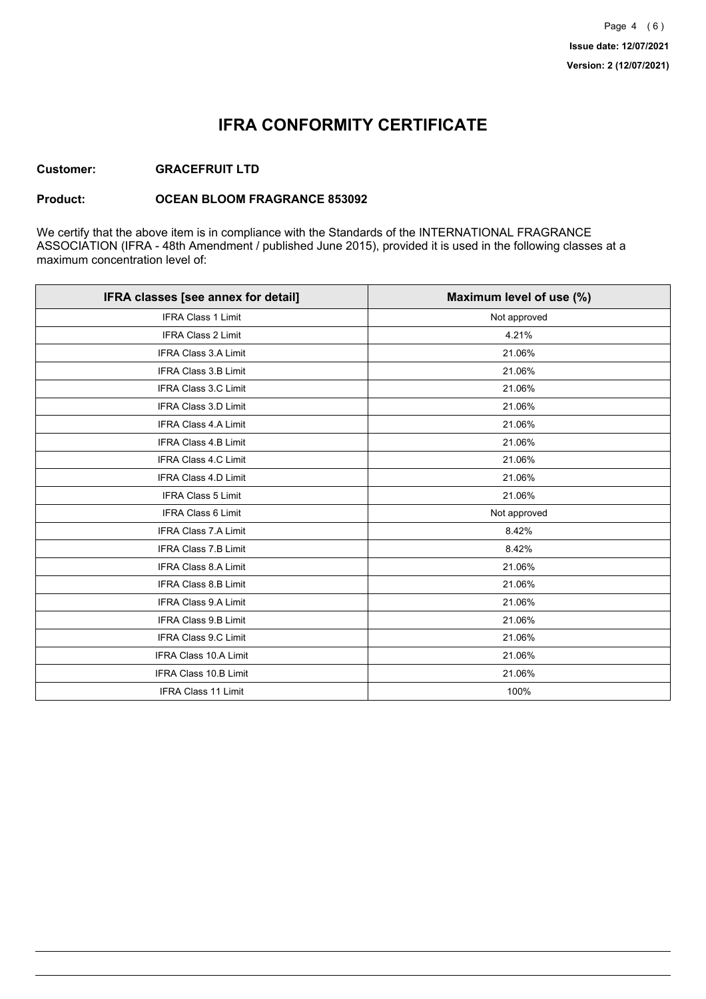## **IFRA CONFORMITY CERTIFICATE**

### **Customer: GRACEFRUIT LTD**

#### **Product: OCEAN BLOOM FRAGRANCE 853092**

We certify that the above item is in compliance with the Standards of the INTERNATIONAL FRAGRANCE ASSOCIATION (IFRA - 48th Amendment / published June 2015), provided it is used in the following classes at a maximum concentration level of:

| IFRA classes [see annex for detail] | Maximum level of use (%) |
|-------------------------------------|--------------------------|
| <b>IFRA Class 1 Limit</b>           | Not approved             |
| <b>IFRA Class 2 Limit</b>           | 4.21%                    |
| <b>IFRA Class 3.A Limit</b>         | 21.06%                   |
| IFRA Class 3.B Limit                | 21.06%                   |
| IFRA Class 3.C Limit                | 21.06%                   |
| IFRA Class 3.D Limit                | 21.06%                   |
| <b>IFRA Class 4.A Limit</b>         | 21.06%                   |
| <b>IFRA Class 4.B Limit</b>         | 21.06%                   |
| IFRA Class 4.C Limit                | 21.06%                   |
| <b>IFRA Class 4.D Limit</b>         | 21.06%                   |
| <b>IFRA Class 5 Limit</b>           | 21.06%                   |
| <b>IFRA Class 6 Limit</b>           | Not approved             |
| <b>IFRA Class 7.A Limit</b>         | 8.42%                    |
| IFRA Class 7.B Limit                | 8.42%                    |
| IFRA Class 8.A Limit                | 21.06%                   |
| IFRA Class 8.B Limit                | 21.06%                   |
| <b>IFRA Class 9.A Limit</b>         | 21.06%                   |
| <b>IFRA Class 9.B Limit</b>         | 21.06%                   |
| IFRA Class 9.C Limit                | 21.06%                   |
| IFRA Class 10.A Limit               | 21.06%                   |
| IFRA Class 10.B Limit               | 21.06%                   |
| <b>IFRA Class 11 Limit</b>          | 100%                     |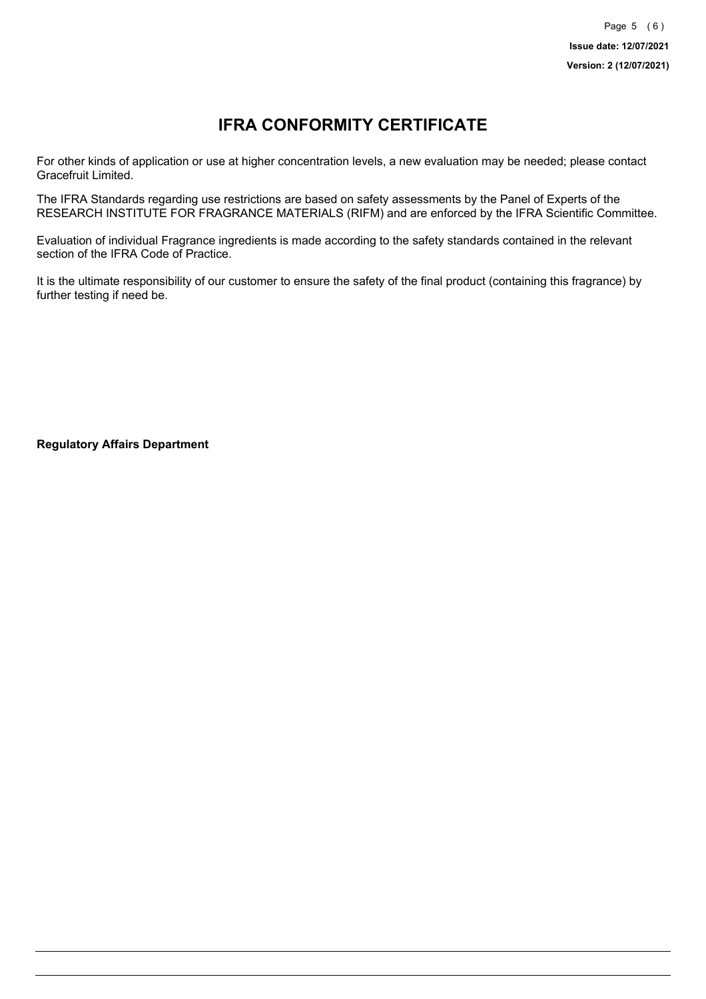# **IFRA CONFORMITY CERTIFICATE**

For other kinds of application or use at higher concentration levels, a new evaluation may be needed; please contact Gracefruit Limited.

The IFRA Standards regarding use restrictions are based on safety assessments by the Panel of Experts of the RESEARCH INSTITUTE FOR FRAGRANCE MATERIALS (RIFM) and are enforced by the IFRA Scientific Committee.

Evaluation of individual Fragrance ingredients is made according to the safety standards contained in the relevant section of the IFRA Code of Practice.

It is the ultimate responsibility of our customer to ensure the safety of the final product (containing this fragrance) by further testing if need be.

**Regulatory Affairs Department**